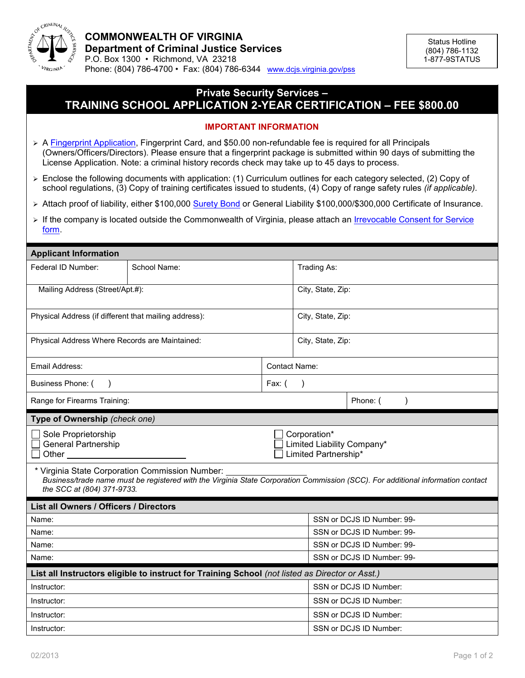

## **Private Security Services – TRAINING SCHOOL APPLICATION 2-YEAR CERTIFICATION – FEE \$800.00**

## **IMPORTANT INFORMATION**

- ▶ A [Fingerprint Application,](http://www.dcjs.virginia.gov/forms/privatesecurity/pss_fp.pdf) Fingerprint Card, and \$50.00 non-refundable fee is required for all Principals (Owners/Officers/Directors). Please ensure that a fingerprint package is submitted within 90 days of submitting the License Application. Note: a criminal history records check may take up to 45 days to process.
- $\triangleright$  Enclose the following documents with application: (1) Curriculum outlines for each category selected, (2) Copy of school regulations, (3) Copy of training certificates issued to students, (4) Copy of range safety rules *(if applicable).*
- ► Attach proof of liability, either \$100,000 [Surety Bond](http://www.dcjs.virginia.gov/forms/privatesecurity/pss_bd.pdf) or General Liability \$100,000/\$300,000 Certificate of Insurance.
- > If the company is located outside the Commonwealth of Virginia, please attach an *Irrevocable Consent for Service* [form](http://www.dcjs.virginia.gov/forms/privatesecurity/pss_irc.pdf.).

| <b>Applicant Information</b>                               |                                                                                                 |                                                                    |                            |                                                                                                                                 |  |  |
|------------------------------------------------------------|-------------------------------------------------------------------------------------------------|--------------------------------------------------------------------|----------------------------|---------------------------------------------------------------------------------------------------------------------------------|--|--|
| Federal ID Number:                                         | School Name:                                                                                    |                                                                    | Trading As:                |                                                                                                                                 |  |  |
| Mailing Address (Street/Apt.#):                            |                                                                                                 |                                                                    | City, State, Zip:          |                                                                                                                                 |  |  |
| Physical Address (if different that mailing address):      |                                                                                                 |                                                                    | City, State, Zip:          |                                                                                                                                 |  |  |
| Physical Address Where Records are Maintained:             |                                                                                                 |                                                                    | City, State, Zip:          |                                                                                                                                 |  |  |
| Email Address:                                             |                                                                                                 | <b>Contact Name:</b>                                               |                            |                                                                                                                                 |  |  |
| Business Phone: (<br>$\lambda$                             |                                                                                                 | Fax: (<br>$\lambda$                                                |                            |                                                                                                                                 |  |  |
| Range for Firearms Training:                               |                                                                                                 |                                                                    |                            | Phone: (                                                                                                                        |  |  |
| Type of Ownership (check one)                              |                                                                                                 |                                                                    |                            |                                                                                                                                 |  |  |
| Sole Proprietorship<br><b>General Partnership</b><br>Other |                                                                                                 | Corporation*<br>Limited Liability Company*<br>Limited Partnership* |                            |                                                                                                                                 |  |  |
| the SCC at (804) 371-9733.                                 | * Virginia State Corporation Commission Number:                                                 |                                                                    |                            | Business/trade name must be registered with the Virginia State Corporation Commission (SCC). For additional information contact |  |  |
| <b>List all Owners / Officers / Directors</b>              |                                                                                                 |                                                                    |                            |                                                                                                                                 |  |  |
| Name:                                                      |                                                                                                 |                                                                    | SSN or DCJS ID Number: 99- |                                                                                                                                 |  |  |
| Name:                                                      |                                                                                                 |                                                                    | SSN or DCJS ID Number: 99- |                                                                                                                                 |  |  |
| Name:                                                      |                                                                                                 |                                                                    | SSN or DCJS ID Number: 99- |                                                                                                                                 |  |  |
| Name:                                                      |                                                                                                 |                                                                    | SSN or DCJS ID Number: 99- |                                                                                                                                 |  |  |
|                                                            | List all Instructors eligible to instruct for Training School (not listed as Director or Asst.) |                                                                    |                            |                                                                                                                                 |  |  |
| Instructor:                                                |                                                                                                 |                                                                    | SSN or DCJS ID Number:     |                                                                                                                                 |  |  |
| Instructor:                                                |                                                                                                 |                                                                    | SSN or DCJS ID Number:     |                                                                                                                                 |  |  |
| Instructor:                                                |                                                                                                 |                                                                    | SSN or DCJS ID Number:     |                                                                                                                                 |  |  |
| Instructor:                                                |                                                                                                 |                                                                    | SSN or DCJS ID Number:     |                                                                                                                                 |  |  |